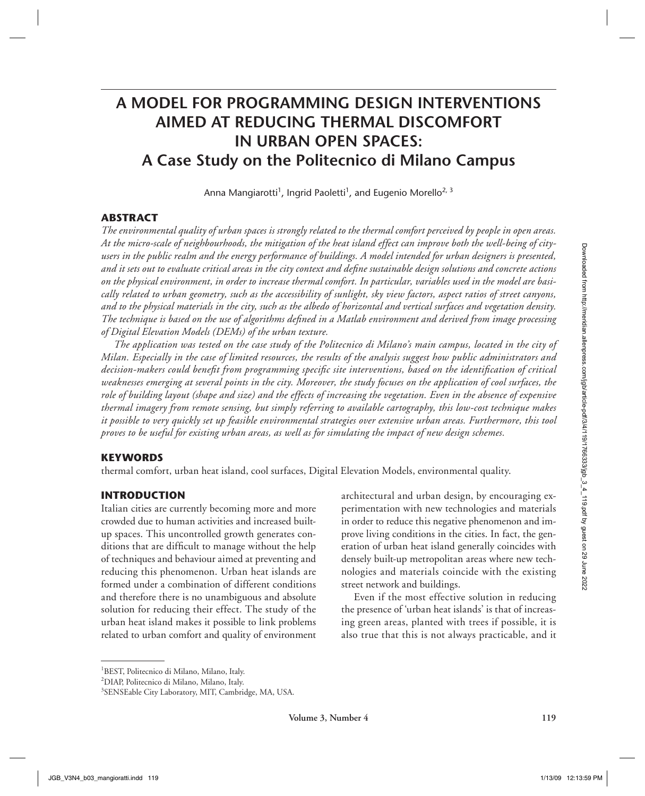# **A MODEL FOR PROGRAMMING DESIGN INTERVENTIONS AIMED AT REDUCING THERMAL DISCOMFORT IN URBAN OPEN SPACES: A Case Study on the Politecnico di Milano Campus**

Anna Mangiarotti $^1$ , Ingrid Paoletti $^1$ , and Eugenio Morello $^{2,\,3}$ 

# **ABSTRACT**

*The environmental quality of urban spaces is strongly related to the thermal comfort perceived by people in open areas. At the micro-scale of neighbourhoods, the mitigation of the heat island effect can improve both the well-being of cityusers in the public realm and the energy performance of buildings. A model intended for urban designers is presented,*  and it sets out to evaluate critical areas in the city context and define sustainable design solutions and concrete actions *on the physical environment, in order to increase thermal comfort. In particular, variables used in the model are basically related to urban geometry, such as the accessibility of sunlight, sky view factors, aspect ratios of street canyons, and to the physical materials in the city, such as the albedo of horizontal and vertical surfaces and vegetation density. The technique is based on the use of algorithms defi ned in a Matlab environment and derived from image processing of Digital Elevation Models (DEMs) of the urban texture.* 

*The application was tested on the case study of the Politecnico di Milano's main campus, located in the city of Milan. Especially in the case of limited resources, the results of the analysis suggest how public administrators and*  decision-makers could benefit from programming specific site interventions, based on the identification of critical *weaknesses emerging at several points in the city. Moreover, the study focuses on the application of cool surfaces, the role of building layout (shape and size) and the effects of increasing the vegetation. Even in the absence of expensive thermal imagery from remote sensing, but simply referring to available cartography, this low-cost technique makes it possible to very quickly set up feasible environmental strategies over extensive urban areas. Furthermore, this tool proves to be useful for existing urban areas, as well as for simulating the impact of new design schemes.* For the most interest of the most properties and the component and the most of the most one of the most one of the most of the most of the most of the most of the symphodic most of the most of the symphodic most of the sy

# **KEYWORDS**

thermal comfort, urban heat island, cool surfaces, Digital Elevation Models, environmental quality.

# **INTRODUCTION**

Italian cities are currently becoming more and more crowded due to human activities and increased builtup spaces. This uncontrolled growth generates conditions that are difficult to manage without the help of techniques and behaviour aimed at preventing and reducing this phenomenon. Urban heat islands are formed under a combination of different conditions and therefore there is no unambiguous and absolute solution for reducing their effect. The study of the urban heat island makes it possible to link problems related to urban comfort and quality of environment

architectural and urban design, by encouraging experimentation with new technologies and materials in order to reduce this negative phenomenon and improve living conditions in the cities. In fact, the generation of urban heat island generally coincides with densely built-up metropolitan areas where new technologies and materials coincide with the existing street network and buildings.

Even if the most effective solution in reducing the presence of 'urban heat islands' is that of increasing green areas, planted with trees if possible, it is also true that this is not always practicable, and it

<sup>1</sup> BEST, Politecnico di Milano, Milano, Italy.

<sup>2</sup> DIAP, Politecnico di Milano, Milano, Italy.

<sup>3</sup> SENSEable City Laboratory, MIT, Cambridge, MA, USA.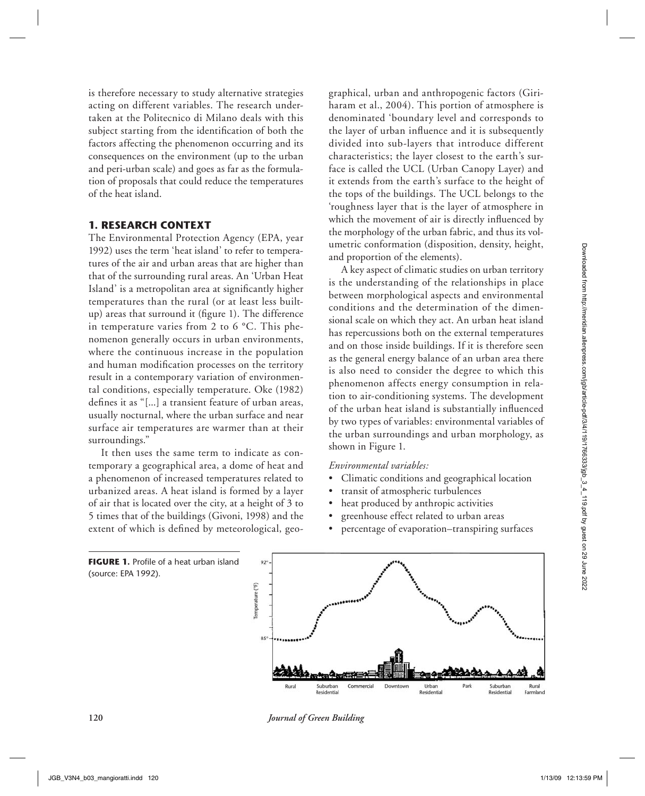is therefore necessary to study alternative strategies acting on different variables. The research undertaken at the Politecnico di Milano deals with this subject starting from the identification of both the factors affecting the phenomenon occurring and its consequences on the environment (up to the urban and peri-urban scale) and goes as far as the formulation of proposals that could reduce the temperatures of the heat island.

## **1. RESEARCH CONTEXT**

The Environmental Protection Agency (EPA, year 1992) uses the term 'heat island' to refer to temperatures of the air and urban areas that are higher than that of the surrounding rural areas. An 'Urban Heat Island' is a metropolitan area at significantly higher temperatures than the rural (or at least less builtup) areas that surround it (figure 1). The difference in temperature varies from 2 to 6 °C. This phenomenon generally occurs in urban environments, where the continuous increase in the population and human modification processes on the territory result in a contemporary variation of environmental conditions, especially temperature. Oke (1982) defines it as "[...] a transient feature of urban areas, usually nocturnal, where the urban surface and near surface air temperatures are warmer than at their surroundings."

It then uses the same term to indicate as contemporary a geographical area, a dome of heat and a phenomenon of increased temperatures related to urbanized areas. A heat island is formed by a layer of air that is located over the city, at a height of 3 to 5 times that of the buildings (Givoni, 1998) and the extent of which is defined by meteorological, geographical, urban and anthropogenic factors (Giriharam et al., 2004). This portion of atmosphere is denominated 'boundary level and corresponds to the layer of urban influence and it is subsequently divided into sub-layers that introduce different characteristics; the layer closest to the earth's surface is called the UCL (Urban Canopy Layer) and it extends from the earth's surface to the height of the tops of the buildings. The UCL belongs to the 'roughness layer that is the layer of atmosphere in which the movement of air is directly influenced by the morphology of the urban fabric, and thus its volumetric conformation (disposition, density, height, and proportion of the elements).

A key aspect of climatic studies on urban territory is the understanding of the relationships in place between morphological aspects and environmental conditions and the determination of the dimensional scale on which they act. An urban heat island has repercussions both on the external temperatures and on those inside buildings. If it is therefore seen as the general energy balance of an urban area there is also need to consider the degree to which this phenomenon affects energy consumption in relation to air-conditioning systems. The development of the urban heat island is substantially influenced by two types of variables: environmental variables of the urban surroundings and urban morphology, as shown in Figure 1.

#### *Environmental variables:*

- Climatic conditions and geographical location
- transit of atmospheric turbulences
- heat produced by anthropic activities
- greenhouse effect related to urban areas
- percentage of evaporation–transpiring surfaces



**120** *Journal of Green Building*

(source: EPA 1992).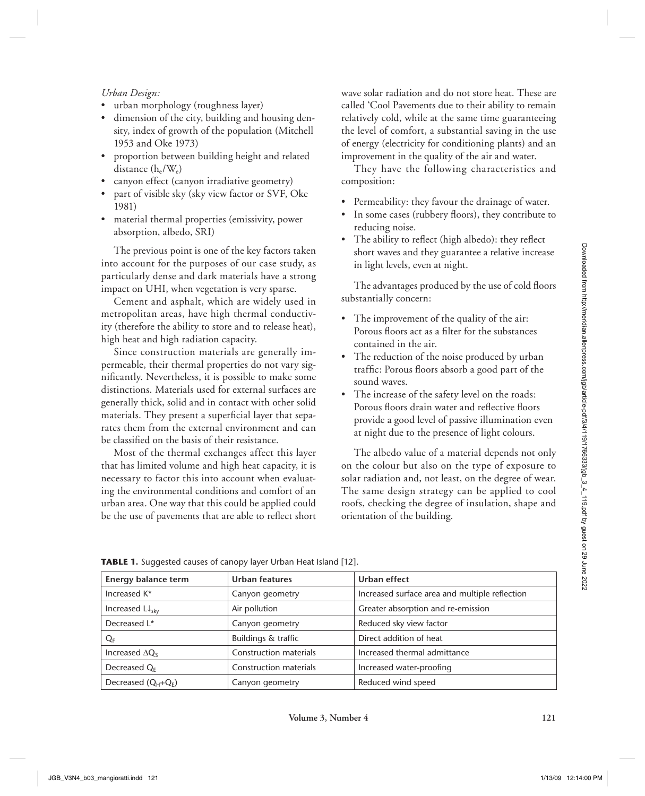#### *Urban Design:*

- urban morphology (roughness layer)
- dimension of the city, building and housing density, index of growth of the population (Mitchell 1953 and Oke 1973)
- proportion between building height and related distance  $(h_e/W_e)$
- canyon effect (canyon irradiative geometry)
- part of visible sky (sky view factor or SVF, Oke 1981)
- material thermal properties (emissivity, power absorption, albedo, SRI)

wave solar radiation and do not store heat. These are called 'Cool Pavements due to their ability to remain relatively cold, while at the same time guaranteeing the level of comfort, a substantial saving in the use of energy (electricity for conditioning plants) and an improvement in the quality of the air and water.

They have the following characteristics and composition:

- Permeability: they favour the drainage of water.
- In some cases (rubbery floors), they contribute to reducing noise.
- The ability to reflect (high albedo): they reflect short waves and they guarantee a relative increase in light levels, even at night.

- The improvement of the quality of the air: Porous floors act as a filter for the substances contained in the air.
- The reduction of the noise produced by urban traffic: Porous floors absorb a good part of the sound waves.
- The increase of the safety level on the roads: Porous floors drain water and reflective floors provide a good level of passive illumination even at night due to the presence of light colours.

| impact on UHI, when vegetation is very sparse.<br>high heat and high radiation capacity. | particularly dense and dark materials have a strong<br>Cement and asphalt, which are widely used in<br>metropolitan areas, have high thermal conductiv-                                                                                                                                                                                                                                                                                                                                                           |                                                                                                                                                                                                                                                                                                                                                                                                                                                                                                                                                                 |  |  |  |
|------------------------------------------------------------------------------------------|-------------------------------------------------------------------------------------------------------------------------------------------------------------------------------------------------------------------------------------------------------------------------------------------------------------------------------------------------------------------------------------------------------------------------------------------------------------------------------------------------------------------|-----------------------------------------------------------------------------------------------------------------------------------------------------------------------------------------------------------------------------------------------------------------------------------------------------------------------------------------------------------------------------------------------------------------------------------------------------------------------------------------------------------------------------------------------------------------|--|--|--|
|                                                                                          |                                                                                                                                                                                                                                                                                                                                                                                                                                                                                                                   | The advantages produced by the use of cold floors<br>substantially concern:                                                                                                                                                                                                                                                                                                                                                                                                                                                                                     |  |  |  |
| be classified on the basis of their resistance.                                          | ity (therefore the ability to store and to release heat),<br>Since construction materials are generally im-<br>permeable, their thermal properties do not vary sig-<br>nificantly. Nevertheless, it is possible to make some<br>distinctions. Materials used for external surfaces are<br>generally thick, solid and in contact with other solid<br>materials. They present a superficial layer that sepa-<br>rates them from the external environment and can<br>Most of the thermal exchanges affect this layer | The improvement of the quality of the air:<br>Porous floors act as a filter for the substances<br>contained in the air.<br>The reduction of the noise produced by urban<br>traffic: Porous floors absorb a good part of the<br>sound waves.<br>The increase of the safety level on the roads:<br>Porous floors drain water and reflective floors<br>provide a good level of passive illumination even<br>at night due to the presence of light colours.<br>The albedo value of a material depends not only<br>on the colour but also on the type of exposure to |  |  |  |
| that has limited volume and high heat capacity, it is                                    | necessary to factor this into account when evaluat-<br>ing the environmental conditions and comfort of an<br>urban area. One way that this could be applied could<br>be the use of pavements that are able to reflect short                                                                                                                                                                                                                                                                                       | solar radiation and, not least, on the degree of wear.<br>The same design strategy can be applied to cool<br>roofs, checking the degree of insulation, shape and<br>orientation of the building.                                                                                                                                                                                                                                                                                                                                                                |  |  |  |
|                                                                                          | TABLE 1. Suggested causes of canopy layer Urban Heat Island [12].                                                                                                                                                                                                                                                                                                                                                                                                                                                 |                                                                                                                                                                                                                                                                                                                                                                                                                                                                                                                                                                 |  |  |  |
| <b>Energy balance term</b>                                                               | <b>Urban features</b>                                                                                                                                                                                                                                                                                                                                                                                                                                                                                             | Urban effect                                                                                                                                                                                                                                                                                                                                                                                                                                                                                                                                                    |  |  |  |
| Increased K*                                                                             | Canyon geometry                                                                                                                                                                                                                                                                                                                                                                                                                                                                                                   | Increased surface area and multiple reflection                                                                                                                                                                                                                                                                                                                                                                                                                                                                                                                  |  |  |  |
| Increased $L \downarrow_{\text{sky}}$                                                    | Air pollution                                                                                                                                                                                                                                                                                                                                                                                                                                                                                                     | Greater absorption and re-emission                                                                                                                                                                                                                                                                                                                                                                                                                                                                                                                              |  |  |  |
| Decreased L*                                                                             | Canyon geometry                                                                                                                                                                                                                                                                                                                                                                                                                                                                                                   | Reduced sky view factor                                                                                                                                                                                                                                                                                                                                                                                                                                                                                                                                         |  |  |  |
| QF                                                                                       | Buildings & traffic                                                                                                                                                                                                                                                                                                                                                                                                                                                                                               | Direct addition of heat                                                                                                                                                                                                                                                                                                                                                                                                                                                                                                                                         |  |  |  |
| Increased $\Delta Q_S$                                                                   | Construction materials                                                                                                                                                                                                                                                                                                                                                                                                                                                                                            | Increased thermal admittance                                                                                                                                                                                                                                                                                                                                                                                                                                                                                                                                    |  |  |  |
| Decreased $Q_F$<br>Decreased (Q <sub>H</sub> +Q <sub>E</sub> )                           | Construction materials<br>Canyon geometry                                                                                                                                                                                                                                                                                                                                                                                                                                                                         | Increased water-proofing<br>Reduced wind speed                                                                                                                                                                                                                                                                                                                                                                                                                                                                                                                  |  |  |  |

**TABLE 1.** Suggested causes of canopy layer Urban Heat Island [12].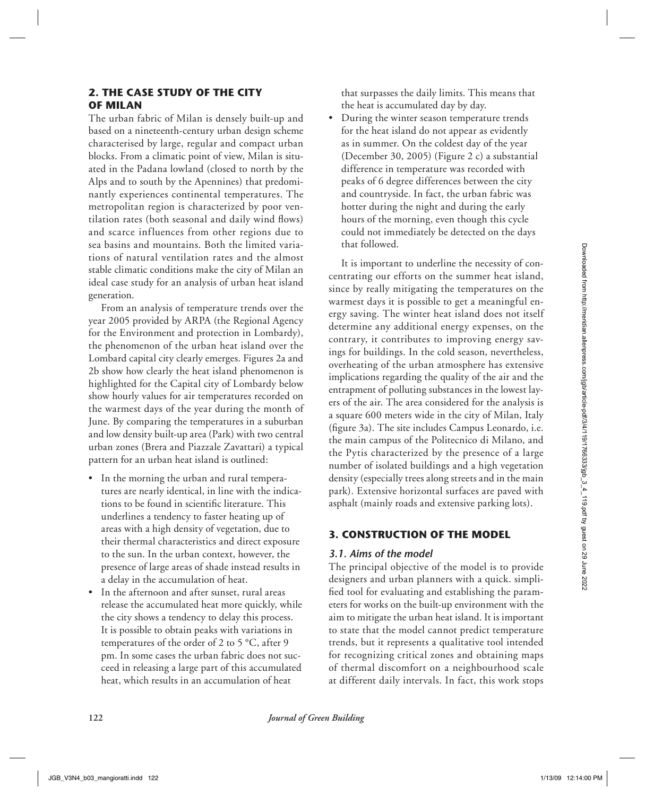## **2. THE CASE STUDY OF THE CITY OF MILAN**

The urban fabric of Milan is densely built-up and based on a nineteenth-century urban design scheme characterised by large, regular and compact urban blocks. From a climatic point of view, Milan is situated in the Padana lowland (closed to north by the Alps and to south by the Apennines) that predominantly experiences continental temperatures. The metropolitan region is characterized by poor ventilation rates (both seasonal and daily wind flows) and scarce influences from other regions due to sea basins and mountains. Both the limited variations of natural ventilation rates and the almost stable climatic conditions make the city of Milan an ideal case study for an analysis of urban heat island generation.

From an analysis of temperature trends over the year 2005 provided by ARPA (the Regional Agency for the Environment and protection in Lombardy), the phenomenon of the urban heat island over the Lombard capital city clearly emerges. Figures 2a and 2b show how clearly the heat island phenomenon is highlighted for the Capital city of Lombardy below show hourly values for air temperatures recorded on the warmest days of the year during the month of June. By comparing the temperatures in a suburban and low density built-up area (Park) with two central urban zones (Brera and Piazzale Zavattari) a typical pattern for an urban heat island is outlined:

- In the morning the urban and rural temperatures are nearly identical, in line with the indications to be found in scientific literature. This underlines a tendency to faster heating up of areas with a high density of vegetation, due to their thermal characteristics and direct exposure to the sun. In the urban context, however, the presence of large areas of shade instead results in a delay in the accumulation of heat.
- In the afternoon and after sunset, rural areas release the accumulated heat more quickly, while the city shows a tendency to delay this process. It is possible to obtain peaks with variations in temperatures of the order of 2 to 5 °C, after 9 pm. In some cases the urban fabric does not succeed in releasing a large part of this accumulated heat, which results in an accumulation of heat

that surpasses the daily limits. This means that the heat is accumulated day by day.

• During the winter season temperature trends for the heat island do not appear as evidently as in summer. On the coldest day of the year (December 30, 2005) (Figure 2 c) a substantial difference in temperature was recorded with peaks of 6 degree differences between the city and countryside. In fact, the urban fabric was hotter during the night and during the early hours of the morning, even though this cycle could not immediately be detected on the days that followed.

It is important to underline the necessity of concentrating our efforts on the summer heat island, since by really mitigating the temperatures on the warmest days it is possible to get a meaningful energy saving. The winter heat island does not itself determine any additional energy expenses, on the contrary, it contributes to improving energy savings for buildings. In the cold season, nevertheless, overheating of the urban atmosphere has extensive implications regarding the quality of the air and the entrapment of polluting substances in the lowest layers of the air. The area considered for the analysis is a square 600 meters wide in the city of Milan, Italy (figure 3a). The site includes Campus Leonardo, i.e. the main campus of the Politecnico di Milano, and the Pytis characterized by the presence of a large number of isolated buildings and a high vegetation density (especially trees along streets and in the main park). Extensive horizontal surfaces are paved with asphalt (mainly roads and extensive parking lots). SEE AND AND MONET CHOIN CHOIN CHOIN CHOIN CHOIN CHOIN CHOIN CHOIN CHOIN CHOIN CHOIN CHOIN CHOIN CHOIN CHOIN CHOIN CHOIN CHOIN CHOIN CHOIN CHOIN CHOIN CHOIN CHOIN CHOIN CHOIN CHOIN CHOIN CHOIN CHOIN CHOIN CHOIN CHOIN CHOIN

## **3. CONSTRUCTION OF THE MODEL**

#### *3.1. Aims of the model*

The principal objective of the model is to provide designers and urban planners with a quick. simplified tool for evaluating and establishing the parameters for works on the built-up environment with the aim to mitigate the urban heat island. It is important to state that the model cannot predict temperature trends, but it represents a qualitative tool intended for recognizing critical zones and obtaining maps of thermal discomfort on a neighbourhood scale at different daily intervals. In fact, this work stops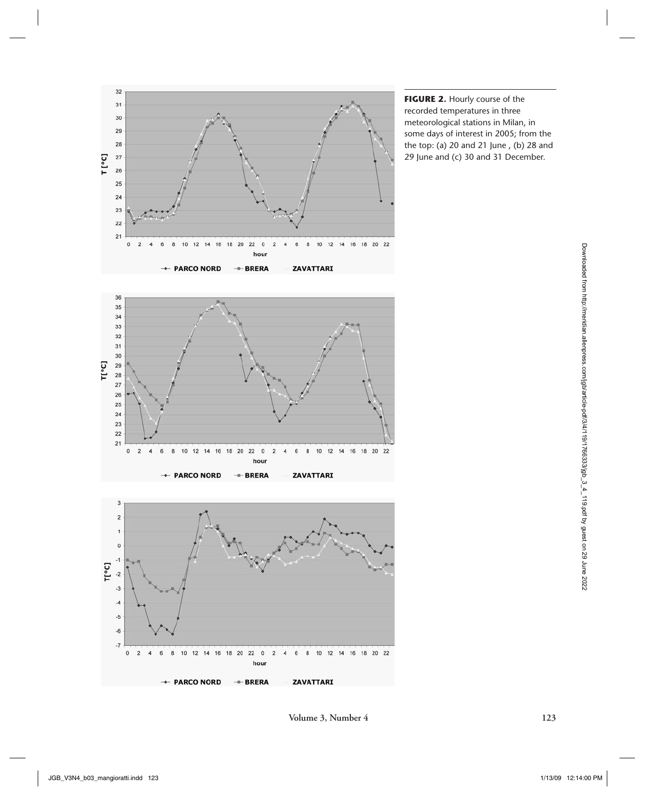

**FIGURE 2.** Hourly course of the recorded temperatures in three meteorological stations in Milan, in some days of interest in 2005; from the the top: (a) 20 and 21 June , (b) 28 and 29 June and (c) 30 and 31 December.



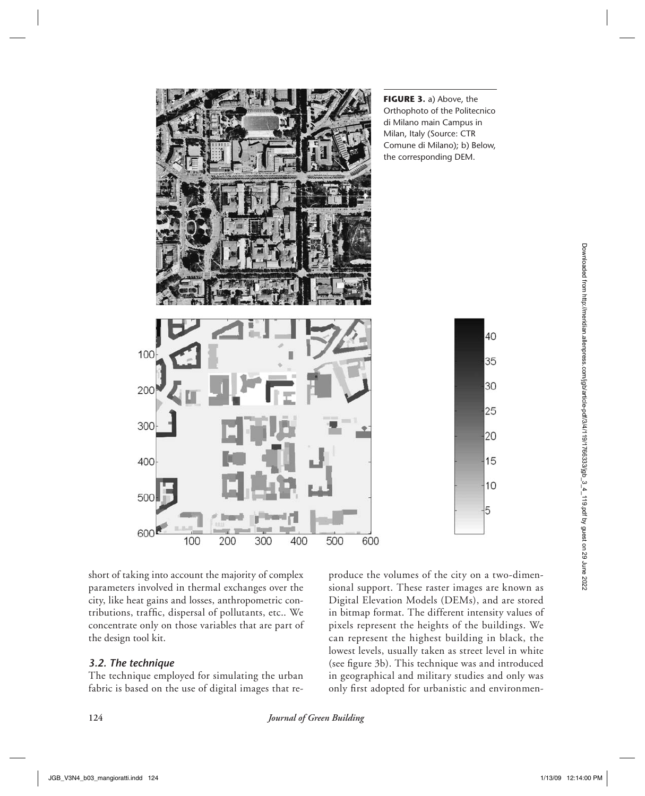

short of taking into account the majority of complex parameters involved in thermal exchanges over the city, like heat gains and losses, anthropometric contributions, traffic, dispersal of pollutants, etc.. We concentrate only on those variables that are part of the design tool kit.

# *3.2. The technique*

The technique employed for simulating the urban fabric is based on the use of digital images that re-

produce the volumes of the city on a two-dimensional support. These raster images are known as Digital Elevation Models (DEMs), and are stored in bitmap format. The different intensity values of pixels represent the heights of the buildings. We can represent the highest building in black, the lowest levels, usually taken as street level in white (see figure 3b). This technique was and introduced in geographical and military studies and only was only first adopted for urbanistic and environmen-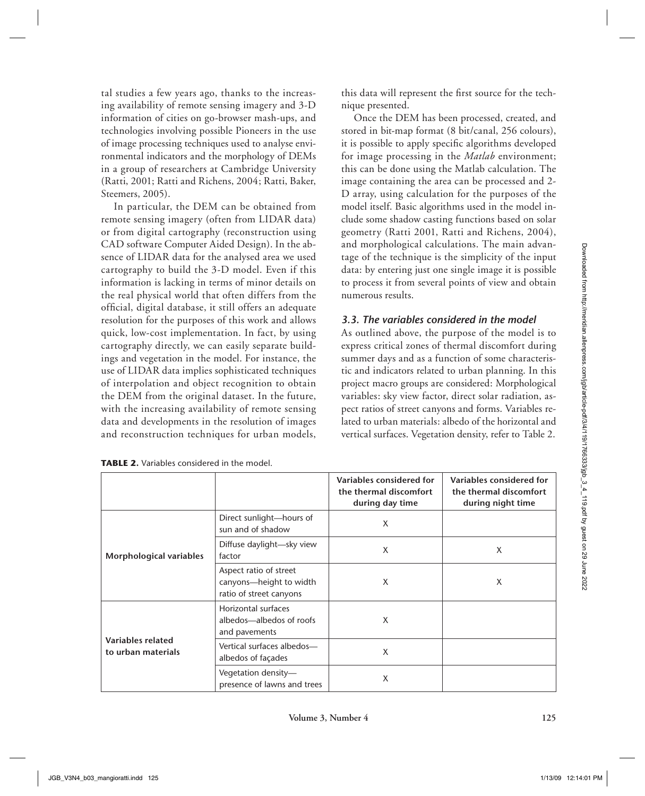tal studies a few years ago, thanks to the increasing availability of remote sensing imagery and 3-D information of cities on go-browser mash-ups, and technologies involving possible Pioneers in the use of image processing techniques used to analyse environmental indicators and the morphology of DEMs in a group of researchers at Cambridge University (Ratti, 2001; Ratti and Richens, 2004; Ratti, Baker, Steemers, 2005).

In particular, the DEM can be obtained from remote sensing imagery (often from LIDAR data) or from digital cartography (reconstruction using CAD software Computer Aided Design). In the absence of LIDAR data for the analysed area we used cartography to build the 3-D model. Even if this information is lacking in terms of minor details on the real physical world that often differs from the official, digital database, it still offers an adequate resolution for the purposes of this work and allows quick, low-cost implementation. In fact, by using cartography directly, we can easily separate buildings and vegetation in the model. For instance, the use of LIDAR data implies sophisticated techniques of interpolation and object recognition to obtain the DEM from the original dataset. In the future, with the increasing availability of remote sensing data and developments in the resolution of images and reconstruction techniques for urban models,

| this data will represent the first source for the tech- |  |  |  |  |
|---------------------------------------------------------|--|--|--|--|
| nique presented.                                        |  |  |  |  |

Once the DEM has been processed, created, and stored in bit-map format (8 bit/canal, 256 colours), it is possible to apply specific algorithms developed for image processing in the *Matlab* environment; this can be done using the Matlab calculation. The image containing the area can be processed and 2- D array, using calculation for the purposes of the model itself. Basic algorithms used in the model include some shadow casting functions based on solar geometry (Ratti 2001, Ratti and Richens, 2004), and morphological calculations. The main advantage of the technique is the simplicity of the input data: by entering just one single image it is possible to process it from several points of view and obtain numerous results.

## *3.3. The variables considered in the model*

| sence of LIDAR data for the analysed area we used<br>cartography to build the 3-D model. Even if this<br>information is lacking in terms of minor details on<br>the real physical world that often differs from the<br>official, digital database, it still offers an adequate<br>resolution for the purposes of this work and allows<br>quick, low-cost implementation. In fact, by using<br>cartography directly, we can easily separate build-<br>ings and vegetation in the model. For instance, the<br>use of LIDAR data implies sophisticated techniques<br>of interpolation and object recognition to obtain<br>the DEM from the original dataset. In the future,<br>with the increasing availability of remote sensing<br>data and developments in the resolution of images<br>and reconstruction techniques for urban models,<br><b>TABLE 2.</b> Variables considered in the model. |                                                                              | numerous results.<br>3.3. The variables considered in the model       | tage of the technique is the simplicity of the input<br>data: by entering just one single image it is possible<br>to process it from several points of view and obtain<br>As outlined above, the purpose of the model is to<br>express critical zones of thermal discomfort during<br>summer days and as a function of some characteris-<br>tic and indicators related to urban planning. In this<br>project macro groups are considered: Morphological<br>variables: sky view factor, direct solar radiation, as-<br>pect ratios of street canyons and forms. Variables re-<br>lated to urban materials: albedo of the horizontal and<br>vertical surfaces. Vegetation density, refer to Table 2. |
|----------------------------------------------------------------------------------------------------------------------------------------------------------------------------------------------------------------------------------------------------------------------------------------------------------------------------------------------------------------------------------------------------------------------------------------------------------------------------------------------------------------------------------------------------------------------------------------------------------------------------------------------------------------------------------------------------------------------------------------------------------------------------------------------------------------------------------------------------------------------------------------------|------------------------------------------------------------------------------|-----------------------------------------------------------------------|----------------------------------------------------------------------------------------------------------------------------------------------------------------------------------------------------------------------------------------------------------------------------------------------------------------------------------------------------------------------------------------------------------------------------------------------------------------------------------------------------------------------------------------------------------------------------------------------------------------------------------------------------------------------------------------------------|
|                                                                                                                                                                                                                                                                                                                                                                                                                                                                                                                                                                                                                                                                                                                                                                                                                                                                                              |                                                                              | Variables considered for<br>the thermal discomfort<br>during day time | Variables considered for<br>the thermal discomfort<br>during night time                                                                                                                                                                                                                                                                                                                                                                                                                                                                                                                                                                                                                            |
| Morphological variables                                                                                                                                                                                                                                                                                                                                                                                                                                                                                                                                                                                                                                                                                                                                                                                                                                                                      | Direct sunlight-hours of<br>sun and of shadow                                | X                                                                     |                                                                                                                                                                                                                                                                                                                                                                                                                                                                                                                                                                                                                                                                                                    |
|                                                                                                                                                                                                                                                                                                                                                                                                                                                                                                                                                                                                                                                                                                                                                                                                                                                                                              | Diffuse daylight-sky view<br>factor                                          | X                                                                     | X                                                                                                                                                                                                                                                                                                                                                                                                                                                                                                                                                                                                                                                                                                  |
|                                                                                                                                                                                                                                                                                                                                                                                                                                                                                                                                                                                                                                                                                                                                                                                                                                                                                              | Aspect ratio of street<br>canyons-height to width<br>ratio of street canyons | X                                                                     | X                                                                                                                                                                                                                                                                                                                                                                                                                                                                                                                                                                                                                                                                                                  |
|                                                                                                                                                                                                                                                                                                                                                                                                                                                                                                                                                                                                                                                                                                                                                                                                                                                                                              | Horizontal surfaces<br>albedos-albedos of roofs<br>and pavements             | Χ                                                                     |                                                                                                                                                                                                                                                                                                                                                                                                                                                                                                                                                                                                                                                                                                    |
| Variables related<br>to urban materials                                                                                                                                                                                                                                                                                                                                                                                                                                                                                                                                                                                                                                                                                                                                                                                                                                                      | Vertical surfaces albedos-<br>albedos of façades                             | X                                                                     |                                                                                                                                                                                                                                                                                                                                                                                                                                                                                                                                                                                                                                                                                                    |
|                                                                                                                                                                                                                                                                                                                                                                                                                                                                                                                                                                                                                                                                                                                                                                                                                                                                                              | Vegetation density-<br>presence of lawns and trees                           | X                                                                     |                                                                                                                                                                                                                                                                                                                                                                                                                                                                                                                                                                                                                                                                                                    |
|                                                                                                                                                                                                                                                                                                                                                                                                                                                                                                                                                                                                                                                                                                                                                                                                                                                                                              | Volume 3, Number 4                                                           |                                                                       | 125                                                                                                                                                                                                                                                                                                                                                                                                                                                                                                                                                                                                                                                                                                |

**TABLE 2.** Variables considered in the model.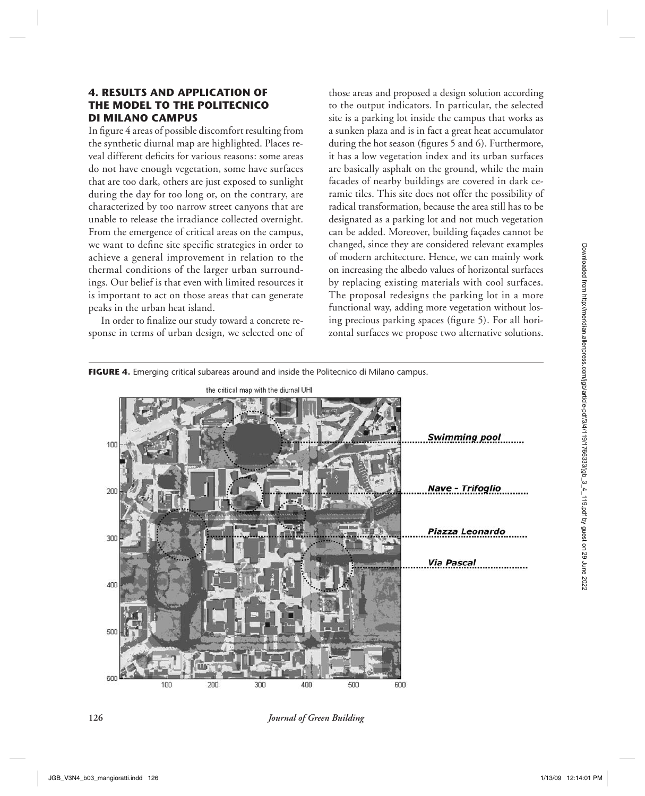# **4. RESULTS AND APPLICATION OF THE MODEL TO THE POLITECNICO DI MILANO CAMPUS**

In figure 4 areas of possible discomfort resulting from the synthetic diurnal map are highlighted. Places reveal different deficits for various reasons: some areas do not have enough vegetation, some have surfaces that are too dark, others are just exposed to sunlight during the day for too long or, on the contrary, are characterized by too narrow street canyons that are unable to release the irradiance collected overnight. From the emergence of critical areas on the campus, we want to define site specific strategies in order to achieve a general improvement in relation to the thermal conditions of the larger urban surroundings. Our belief is that even with limited resources it is important to act on those areas that can generate peaks in the urban heat island.

In order to finalize our study toward a concrete response in terms of urban design, we selected one of

those areas and proposed a design solution according to the output indicators. In particular, the selected site is a parking lot inside the campus that works as a sunken plaza and is in fact a great heat accumulator during the hot season (figures 5 and 6). Furthermore, it has a low vegetation index and its urban surfaces are basically asphalt on the ground, while the main facades of nearby buildings are covered in dark ceramic tiles. This site does not offer the possibility of radical transformation, because the area still has to be designated as a parking lot and not much vegetation can be added. Moreover, building façades cannot be changed, since they are considered relevant examples of modern architecture. Hence, we can mainly work on increasing the albedo values of horizontal surfaces by replacing existing materials with cool surfaces. The proposal redesigns the parking lot in a more functional way, adding more vegetation without losing precious parking spaces (figure 5). For all horizontal surfaces we propose two alternative solutions.



**126** *Journal of Green Building*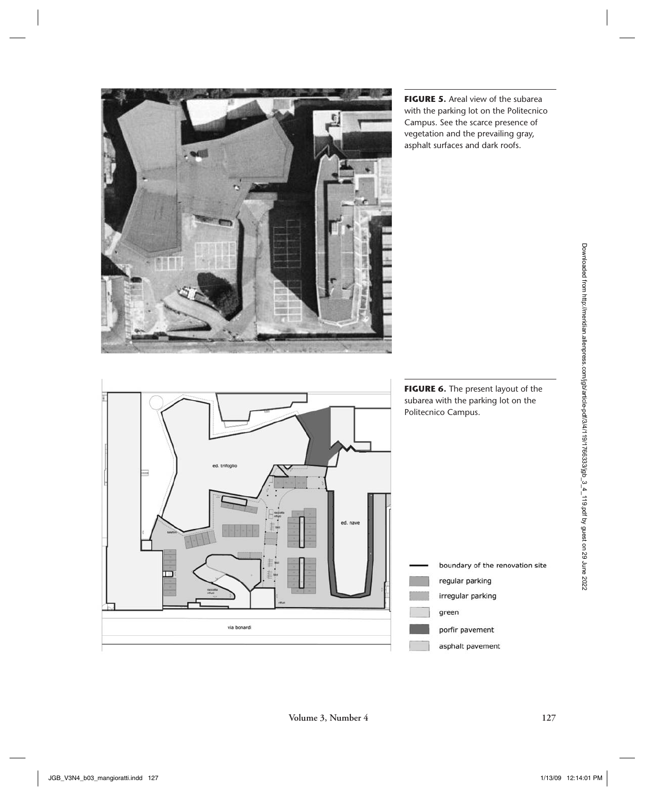

**FIGURE 5.** Areal view of the subarea with the parking lot on the Politecnico Campus. See the scarce presence of vegetation and the prevailing gray, asphalt surfaces and dark roofs.

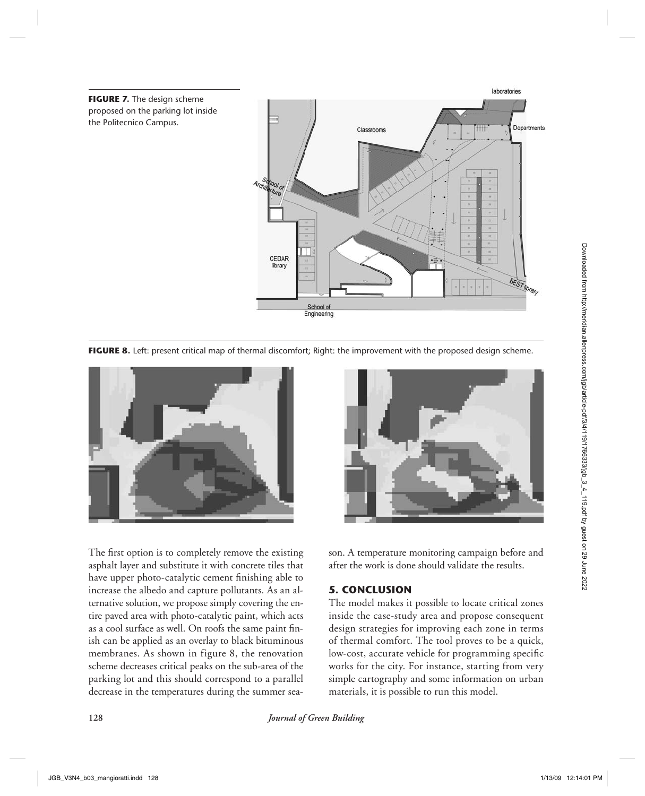

**FIGURE 8.** Left: present critical map of thermal discomfort; Right: the improvement with the proposed design scheme.





The first option is to completely remove the existing asphalt layer and substitute it with concrete tiles that have upper photo-catalytic cement finishing able to increase the albedo and capture pollutants. As an alternative solution, we propose simply covering the entire paved area with photo-catalytic paint, which acts as a cool surface as well. On roofs the same paint finish can be applied as an overlay to black bituminous membranes. As shown in figure 8, the renovation scheme decreases critical peaks on the sub-area of the parking lot and this should correspond to a parallel decrease in the temperatures during the summer season. A temperature monitoring campaign before and after the work is done should validate the results.

# **5. CONCLUSION**

The model makes it possible to locate critical zones inside the case-study area and propose consequent design strategies for improving each zone in terms of thermal comfort. The tool proves to be a quick, low-cost, accurate vehicle for programming specific works for the city. For instance, starting from very simple cartography and some information on urban materials, it is possible to run this model.